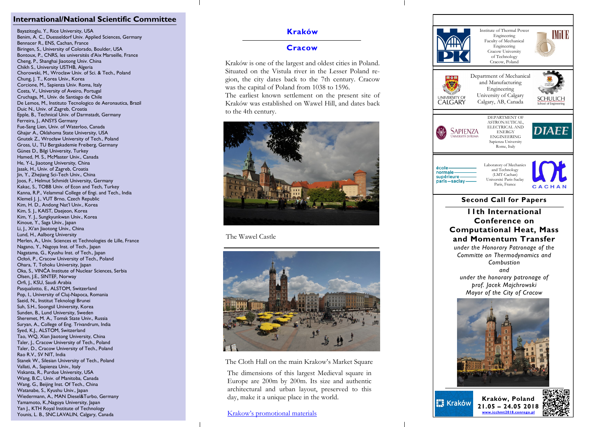### **International/National Scientific Committee**

Bayazitoglu, Y., Rice University, USA Benim, A. C., Duesseldorf Univ. Applied Sciences, Germany Bennacer R., ENS, Cachan, France Biringen, S., University of Colorado, Boulder, USA Bontoux, P., CNRS, les universités d'Aix Marseille, France Cheng, P., Shanghai Jiaotong Univ. China Chikh S., University USTHB, Algeria Chorowski, M., Wroclaw Univ. of Sci. & Tech., Poland Chung, J. T., Korea Univ., Korea Corcione, M., Sapienza Univ. Roma, Italy Costa, V., University of Aveiro, Portugal Cruchaga, M., Univ. de Santiago de Chile De Lemos, M., Instituto Tecnologico de Aeronautica, Brazil Duic N., Univ. of Zagreb, Croatia Epple, B., Technical Univ. of Darmstadt, Germany Ferreira, J., ANSYS Germany Fue -Sang Lien, Univ. of Waterloo, Canada Ghajar A., Oklahoma State University, USA Gnutek Z., Wrocław University of Tech., Poland Gross, U., TU Bergakademie Freiberg, Germany Günes D., Bilgi University, Turkey Hamed, M. S., McMaster Univ., Canada He, Y -L, Jiaotong University, China Jasak, H., Univ. of Zagreb, Croatia Jin, Y., Zhejiang Sci -Tech Univ., China Joos, F., Helmut Schmidt University, Germany Kakac, S., TOBB Univ. of Econ and Tech, Turkey Kanna, R.P., Velammal College of Engi. and Tech., India Klemeš J. J., VUT Brno, Czech Republic Kim, H. D., Andong Nat'l Univ., Korea Kim, S. J., KAIST, Daejeon, Korea Kim, Y. J., Sungkyunkwan Univ., Korea Kinoue, Y., Saga Univ., Japan Li, J., Xi'an Jiaotong Univ., China Lund, H., Aalborg University Merlen, A., Univ. Sciences et Technologies de Lille, France Nagano, Y., Nagoya Inst. of Tech., Japan Nagatama, G., Kyushu Inst. of Tech., Japan Ocłoń, P., Cracow University of Tech., Poland Ohara, T, Tohoku University, Japan Oka, S., VINČA Institute of Nuclear Sciences, Serbia Olsen, J.E., SINTEF, Norway Orfi, J., KSU, Saudi Arabia Pasqualotto, E., ALSTOM, Switzerland Pop, I., University of Cluj -Napoca, Romania Saeid, N., Institut Teknologi Brunei Suh, S.H., Soongsil University, Korea Sunden, B., Lund University, Sweden Sheremet, M. A., Tomsk State Univ., Russia Suryan, A., College of Eng. Trivandrum, India Syed, K.J., ALSTOM, Switzerland Tao, WQ, Xian Jiaotong University, China Taler, J., Cracow University of Tech., Poland Taler, D., Cracow University of Tech., Poland Rao R.V., SV NIT, India Stanek W., Silesian University of Tech., Poland Vallati, A., Sapienza Univ., Italy Viskanta, R., Purdue University, USA Wang, B.C., Univ. of Manitoba, Canada Wang, G., Beijing Inst. Of Tech., China Watanabe, S., Kyushu Univ., Japan Wiedermann, A., MAN Diesel&Turbo, Germany Yamamoto, K.,Nagoya University, Japan Yan J., KTH Royal Institute of Technology Younis, L. B., SNC.LAVALIN, Calgary, Canada

# **Kraków**

# **Cracow**

Kraków is one of the largest and oldest cities in Poland. Situated on the Vistula river in the Lesser Poland region, the city dates back to the 7th century. Cracow was the capital of Poland from 1038 to 1596. The earliest known settlement on the present site of Kraków was established on Wawel Hill, and dates back to the 4th century.



The Wawel Castle



The Cloth Hall on the main Krakow's Market Square

The dimensions of this largest Medieval square in Europe are 200m by 200m. Its size and authentic architectural and urban layout, preserved to this day, make it a unique place in the world.

[Krakow's promotional materials](http://www.krakow.pl/odwiedz_krakow/33321,artykul,krakow_s_promotional_materials.html)



**Kraków, Poland EX Kraków 21.05 – 24.05 2018 [www.icchmt2018.conrego.pl](http://www.icchmt2018.conrego.pl)**